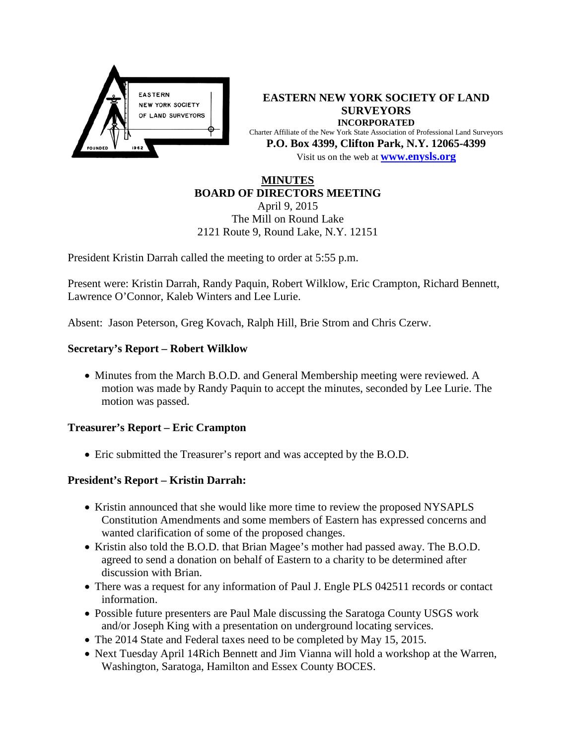

**EASTERN NEW YORK SOCIETY OF LAND SURVEYORS INCORPORATED** Charter Affiliate of the New York State Association of Professional Land Surveyors **P.O. Box 4399, Clifton Park, N.Y. 12065-4399** Visit us on the web at **[www.e](http://www.enysls.org/)nysls.org**

#### **MINUTES BOARD OF DIRECTORS MEETING**

April 9, 2015 The Mill on Round Lake 2121 Route 9, Round Lake, N.Y. 12151

President Kristin Darrah called the meeting to order at 5:55 p.m.

Present were: Kristin Darrah, Randy Paquin, Robert Wilklow, Eric Crampton, Richard Bennett, Lawrence O'Connor, Kaleb Winters and Lee Lurie.

Absent: Jason Peterson, Greg Kovach, Ralph Hill, Brie Strom and Chris Czerw.

## **Secretary's Report – Robert Wilklow**

• Minutes from the March B.O.D. and General Membership meeting were reviewed. A motion was made by Randy Paquin to accept the minutes, seconded by Lee Lurie. The motion was passed.

## **Treasurer's Report – Eric Crampton**

• Eric submitted the Treasurer's report and was accepted by the B.O.D.

# **President's Report – Kristin Darrah:**

- Kristin announced that she would like more time to review the proposed NYSAPLS Constitution Amendments and some members of Eastern has expressed concerns and wanted clarification of some of the proposed changes.
- Kristin also told the B.O.D. that Brian Magee's mother had passed away. The B.O.D. agreed to send a donation on behalf of Eastern to a charity to be determined after discussion with Brian.
- There was a request for any information of Paul J. Engle PLS 042511 records or contact information.
- Possible future presenters are Paul Male discussing the Saratoga County USGS work and/or Joseph King with a presentation on underground locating services.
- The 2014 State and Federal taxes need to be completed by May 15, 2015.
- Next Tuesday April 14Rich Bennett and Jim Vianna will hold a workshop at the Warren, Washington, Saratoga, Hamilton and Essex County BOCES.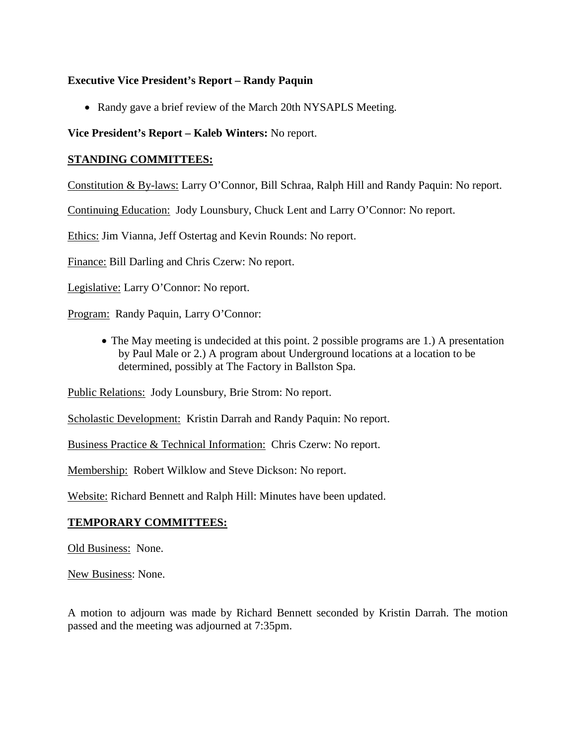## **Executive Vice President's Report – Randy Paquin**

• Randy gave a brief review of the March 20th NYSAPLS Meeting.

**Vice President's Report – Kaleb Winters:** No report.

## **STANDING COMMITTEES:**

Constitution & By-laws: Larry O'Connor, Bill Schraa, Ralph Hill and Randy Paquin: No report.

Continuing Education: Jody Lounsbury, Chuck Lent and Larry O'Connor: No report.

Ethics: Jim Vianna, Jeff Ostertag and Kevin Rounds: No report.

Finance: Bill Darling and Chris Czerw: No report.

Legislative: Larry O'Connor: No report.

Program: Randy Paquin, Larry O'Connor:

• The May meeting is undecided at this point. 2 possible programs are 1.) A presentation by Paul Male or 2.) A program about Underground locations at a location to be determined, possibly at The Factory in Ballston Spa.

Public Relations: Jody Lounsbury, Brie Strom: No report.

Scholastic Development: Kristin Darrah and Randy Paquin: No report.

Business Practice & Technical Information: Chris Czerw: No report.

Membership: Robert Wilklow and Steve Dickson: No report.

Website: Richard Bennett and Ralph Hill: Minutes have been updated.

# **TEMPORARY COMMITTEES:**

Old Business: None.

New Business: None.

A motion to adjourn was made by Richard Bennett seconded by Kristin Darrah. The motion passed and the meeting was adjourned at 7:35pm.